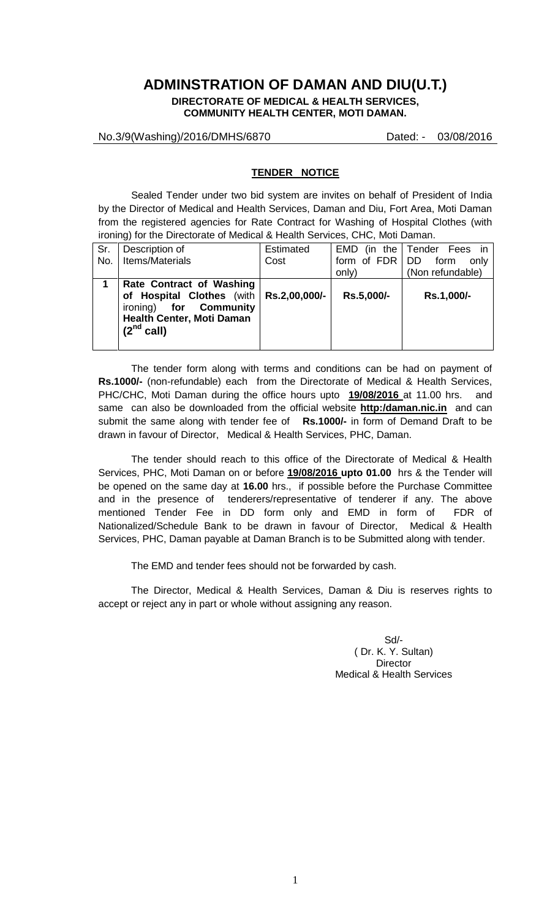# **ADMINSTRATION OF DAMAN AND DIU(U.T.)**

**DIRECTORATE OF MEDICAL & HEALTH SERVICES, COMMUNITY HEALTH CENTER, MOTI DAMAN.**

No.3/9(Washing)/2016/DMHS/6870 Dated: - 03/08/2016

#### **TENDER NOTICE**

 Sealed Tender under two bid system are invites on behalf of President of India by the Director of Medical and Health Services, Daman and Diu, Fort Area, Moti Daman from the registered agencies for Rate Contract for Washing of Hospital Clothes (with ironing) for the Directorate of Medical & Health Services, CHC, Moti Daman.

| Sr. | Description of                                                                                                               | <b>Estimated</b> | (in the<br>EMD   | Tender Fees in   |
|-----|------------------------------------------------------------------------------------------------------------------------------|------------------|------------------|------------------|
| No. | Items/Materials                                                                                                              | Cost             | form of FDR   DD | form<br>only     |
|     |                                                                                                                              |                  | only)            | (Non refundable) |
|     | Rate Contract of Washing<br>of Hospital Clothes (with<br>ironing) for Community<br>Health Center, Moti Daman<br>$(2nd$ call) | Rs.2,00,000/-    | Rs.5,000/-       | Rs.1,000/-       |

The tender form along with terms and conditions can be had on payment of **Rs.1000/-** (non-refundable) each from the Directorate of Medical & Health Services, PHC/CHC, Moti Daman during the office hours upto **19/08/2016** at 11.00 hrs. and same can also be downloaded from the official website **http:/daman.nic.in** and can submit the same along with tender fee of **Rs.1000/-** in form of Demand Draft to be drawn in favour of Director, Medical & Health Services, PHC, Daman.

 The tender should reach to this office of the Directorate of Medical & Health Services, PHC, Moti Daman on or before **19/08/2016 upto 01.00** hrs & the Tender will be opened on the same day at **16.00** hrs., if possible before the Purchase Committee and in the presence of tenderers/representative of tenderer if any. The above mentioned Tender Fee in DD form only and EMD in form of FDR of Nationalized/Schedule Bank to be drawn in favour of Director, Medical & Health Services, PHC, Daman payable at Daman Branch is to be Submitted along with tender.

The EMD and tender fees should not be forwarded by cash.

The Director, Medical & Health Services, Daman & Diu is reserves rights to accept or reject any in part or whole without assigning any reason.

> Sd/- ( Dr. K. Y. Sultan) **Director** Medical & Health Services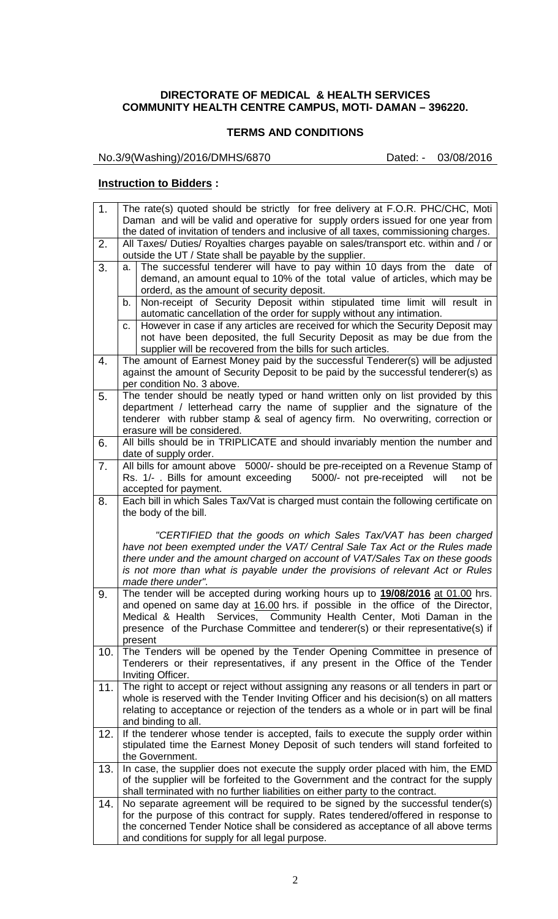### **DIRECTORATE OF MEDICAL & HEALTH SERVICES COMMUNITY HEALTH CENTRE CAMPUS, MOTI- DAMAN – 396220.**

#### **TERMS AND CONDITIONS**

No.3/9(Washing)/2016/DMHS/6870 Dated: - 03/08/2016

#### **Instruction to Bidders :**

| 1.  | The rate(s) quoted should be strictly for free delivery at F.O.R. PHC/CHC, Moti                                                                                           |  |  |
|-----|---------------------------------------------------------------------------------------------------------------------------------------------------------------------------|--|--|
|     | Daman and will be valid and operative for supply orders issued for one year from<br>the dated of invitation of tenders and inclusive of all taxes, commissioning charges. |  |  |
| 2.  | All Taxes/ Duties/ Royalties charges payable on sales/transport etc. within and / or                                                                                      |  |  |
|     | outside the UT / State shall be payable by the supplier.                                                                                                                  |  |  |
| 3.  | The successful tenderer will have to pay within 10 days from the date of<br>a.                                                                                            |  |  |
|     | demand, an amount equal to 10% of the total value of articles, which may be                                                                                               |  |  |
|     | orderd, as the amount of security deposit.                                                                                                                                |  |  |
|     | Non-receipt of Security Deposit within stipulated time limit will result in<br>b.                                                                                         |  |  |
|     | automatic cancellation of the order for supply without any intimation.                                                                                                    |  |  |
|     | However in case if any articles are received for which the Security Deposit may<br>c.                                                                                     |  |  |
|     | not have been deposited, the full Security Deposit as may be due from the                                                                                                 |  |  |
| 4.  | supplier will be recovered from the bills for such articles.<br>The amount of Earnest Money paid by the successful Tenderer(s) will be adjusted                           |  |  |
|     | against the amount of Security Deposit to be paid by the successful tenderer(s) as                                                                                        |  |  |
|     | per condition No. 3 above.                                                                                                                                                |  |  |
| 5.  | The tender should be neatly typed or hand written only on list provided by this                                                                                           |  |  |
|     | department / letterhead carry the name of supplier and the signature of the                                                                                               |  |  |
|     | tenderer with rubber stamp & seal of agency firm. No overwriting, correction or                                                                                           |  |  |
|     | erasure will be considered.                                                                                                                                               |  |  |
| 6.  | All bills should be in TRIPLICATE and should invariably mention the number and                                                                                            |  |  |
|     | date of supply order.                                                                                                                                                     |  |  |
| 7.  | All bills for amount above 5000/- should be pre-receipted on a Revenue Stamp of                                                                                           |  |  |
|     | Rs. 1/- . Bills for amount exceeding<br>5000/- not pre-receipted<br>will<br>not be                                                                                        |  |  |
|     | accepted for payment.                                                                                                                                                     |  |  |
| 8.  | Each bill in which Sales Tax/Vat is charged must contain the following certificate on                                                                                     |  |  |
|     | the body of the bill.                                                                                                                                                     |  |  |
|     |                                                                                                                                                                           |  |  |
|     | "CERTIFIED that the goods on which Sales Tax/VAT has been charged<br>have not been exempted under the VAT/ Central Sale Tax Act or the Rules made                         |  |  |
|     | there under and the amount charged on account of VAT/Sales Tax on these goods                                                                                             |  |  |
|     | is not more than what is payable under the provisions of relevant Act or Rules                                                                                            |  |  |
|     | made there under".                                                                                                                                                        |  |  |
| 9.  | The tender will be accepted during working hours up to 19/08/2016 at 01.00 hrs.                                                                                           |  |  |
|     | and opened on same day at 16.00 hrs. if possible in the office of the Director,                                                                                           |  |  |
|     | Medical & Health Services, Community Health Center, Moti Daman in the                                                                                                     |  |  |
|     | presence of the Purchase Committee and tenderer(s) or their representative(s) if                                                                                          |  |  |
|     | present                                                                                                                                                                   |  |  |
| 10. | The Tenders will be opened by the Tender Opening Committee in presence of                                                                                                 |  |  |
|     | Tenderers or their representatives, if any present in the Office of the Tender<br>Inviting Officer.                                                                       |  |  |
| 11. | The right to accept or reject without assigning any reasons or all tenders in part or                                                                                     |  |  |
|     | whole is reserved with the Tender Inviting Officer and his decision(s) on all matters                                                                                     |  |  |
|     | relating to acceptance or rejection of the tenders as a whole or in part will be final                                                                                    |  |  |
|     | and binding to all.                                                                                                                                                       |  |  |
| 12. | If the tenderer whose tender is accepted, fails to execute the supply order within                                                                                        |  |  |
|     | stipulated time the Earnest Money Deposit of such tenders will stand forfeited to                                                                                         |  |  |
|     | the Government.                                                                                                                                                           |  |  |
| 13. | In case, the supplier does not execute the supply order placed with him, the EMD                                                                                          |  |  |
|     | of the supplier will be forfeited to the Government and the contract for the supply                                                                                       |  |  |
|     | shall terminated with no further liabilities on either party to the contract.                                                                                             |  |  |
| 14. | No separate agreement will be required to be signed by the successful tender(s)                                                                                           |  |  |
|     | for the purpose of this contract for supply. Rates tendered/offered in response to                                                                                        |  |  |
|     | the concerned Tender Notice shall be considered as acceptance of all above terms<br>and conditions for supply for all legal purpose.                                      |  |  |
|     |                                                                                                                                                                           |  |  |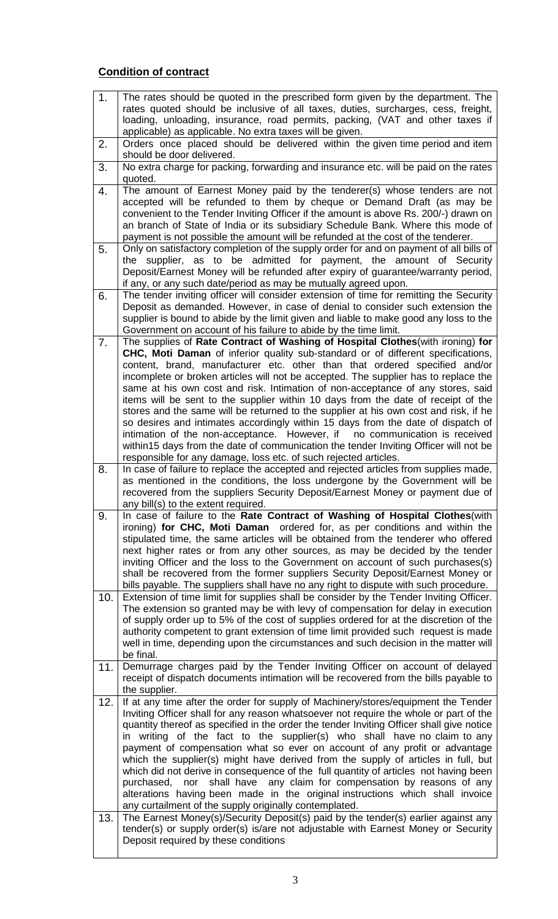## **Condition of contract**

| 1.  | The rates should be quoted in the prescribed form given by the department. The                                                                                              |
|-----|-----------------------------------------------------------------------------------------------------------------------------------------------------------------------------|
|     | rates quoted should be inclusive of all taxes, duties, surcharges, cess, freight,                                                                                           |
|     | loading, unloading, insurance, road permits, packing, (VAT and other taxes if                                                                                               |
|     | applicable) as applicable. No extra taxes will be given.                                                                                                                    |
| 2.  | Orders once placed should be delivered within the given time period and item                                                                                                |
|     | should be door delivered.<br>No extra charge for packing, forwarding and insurance etc. will be paid on the rates                                                           |
| 3.  | quoted.                                                                                                                                                                     |
| 4.  | The amount of Earnest Money paid by the tenderer(s) whose tenders are not                                                                                                   |
|     | accepted will be refunded to them by cheque or Demand Draft (as may be                                                                                                      |
|     | convenient to the Tender Inviting Officer if the amount is above Rs. 200/-) drawn on                                                                                        |
|     | an branch of State of India or its subsidiary Schedule Bank. Where this mode of                                                                                             |
|     | payment is not possible the amount will be refunded at the cost of the tenderer.                                                                                            |
| 5.  | Only on satisfactory completion of the supply order for and on payment of all bills of                                                                                      |
|     | the supplier, as to be admitted for payment, the amount of Security                                                                                                         |
|     | Deposit/Earnest Money will be refunded after expiry of guarantee/warranty period,                                                                                           |
|     | if any, or any such date/period as may be mutually agreed upon.                                                                                                             |
| 6.  | The tender inviting officer will consider extension of time for remitting the Security                                                                                      |
|     | Deposit as demanded. However, in case of denial to consider such extension the                                                                                              |
|     | supplier is bound to abide by the limit given and liable to make good any loss to the                                                                                       |
| 7.  | Government on account of his failure to abide by the time limit.<br>The supplies of Rate Contract of Washing of Hospital Clothes(with ironing) for                          |
|     | CHC, Moti Daman of inferior quality sub-standard or of different specifications,                                                                                            |
|     | content, brand, manufacturer etc. other than that ordered specified and/or                                                                                                  |
|     | incomplete or broken articles will not be accepted. The supplier has to replace the                                                                                         |
|     | same at his own cost and risk. Intimation of non-acceptance of any stores, said                                                                                             |
|     | items will be sent to the supplier within 10 days from the date of receipt of the                                                                                           |
|     | stores and the same will be returned to the supplier at his own cost and risk, if he                                                                                        |
|     | so desires and intimates accordingly within 15 days from the date of dispatch of                                                                                            |
|     | intimation of the non-acceptance. However, if no communication is received                                                                                                  |
|     | within 15 days from the date of communication the tender Inviting Officer will not be                                                                                       |
| 8.  | responsible for any damage, loss etc. of such rejected articles.<br>In case of failure to replace the accepted and rejected articles from supplies made,                    |
|     | as mentioned in the conditions, the loss undergone by the Government will be                                                                                                |
|     |                                                                                                                                                                             |
|     |                                                                                                                                                                             |
|     | recovered from the suppliers Security Deposit/Earnest Money or payment due of                                                                                               |
| 9.  | any bill(s) to the extent required.<br>In case of failure to the Rate Contract of Washing of Hospital Clothes (with                                                         |
|     | ironing) for CHC, Moti Daman ordered for, as per conditions and within the                                                                                                  |
|     | stipulated time, the same articles will be obtained from the tenderer who offered                                                                                           |
|     | next higher rates or from any other sources, as may be decided by the tender                                                                                                |
|     | inviting Officer and the loss to the Government on account of such purchases(s)                                                                                             |
|     | shall be recovered from the former suppliers Security Deposit/Earnest Money or                                                                                              |
|     | bills payable. The suppliers shall have no any right to dispute with such procedure.                                                                                        |
| 10. | Extension of time limit for supplies shall be consider by the Tender Inviting Officer.                                                                                      |
|     | The extension so granted may be with levy of compensation for delay in execution                                                                                            |
|     | of supply order up to 5% of the cost of supplies ordered for at the discretion of the<br>authority competent to grant extension of time limit provided such request is made |
|     | well in time, depending upon the circumstances and such decision in the matter will                                                                                         |
|     | be final.                                                                                                                                                                   |
| 11. | Demurrage charges paid by the Tender Inviting Officer on account of delayed                                                                                                 |
|     | receipt of dispatch documents intimation will be recovered from the bills payable to                                                                                        |
|     | the supplier.                                                                                                                                                               |
| 12. | If at any time after the order for supply of Machinery/stores/equipment the Tender                                                                                          |
|     | Inviting Officer shall for any reason whatsoever not require the whole or part of the                                                                                       |
|     | quantity thereof as specified in the order the tender Inviting Officer shall give notice                                                                                    |
|     | in writing of the fact to the supplier(s) who shall have no claim to any                                                                                                    |
|     | payment of compensation what so ever on account of any profit or advantage                                                                                                  |
|     | which the supplier(s) might have derived from the supply of articles in full, but<br>which did not derive in consequence of the full quantity of articles not having been   |
|     | nor shall have any claim for compensation by reasons of any<br>purchased,                                                                                                   |
|     | alterations having been made in the original instructions which shall invoice                                                                                               |
|     | any curtailment of the supply originally contemplated.                                                                                                                      |
| 13. | The Earnest Money(s)/Security Deposit(s) paid by the tender(s) earlier against any                                                                                          |
|     | tender(s) or supply order(s) is/are not adjustable with Earnest Money or Security                                                                                           |
|     | Deposit required by these conditions                                                                                                                                        |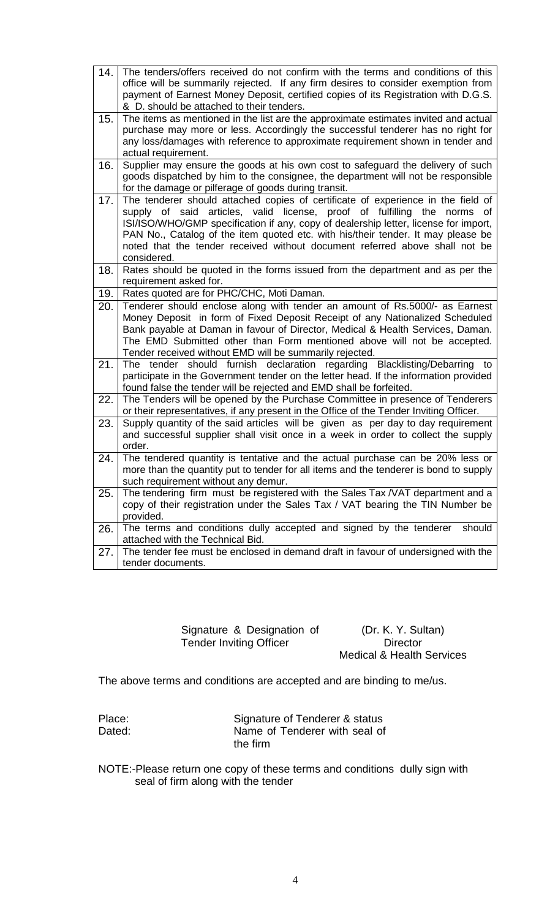| 14.  | The tenders/offers received do not confirm with the terms and conditions of this<br>office will be summarily rejected. If any firm desires to consider exemption from<br>payment of Earnest Money Deposit, certified copies of its Registration with D.G.S.<br>& D. should be attached to their tenders.                                                                                                                                  |
|------|-------------------------------------------------------------------------------------------------------------------------------------------------------------------------------------------------------------------------------------------------------------------------------------------------------------------------------------------------------------------------------------------------------------------------------------------|
| 15.  | The items as mentioned in the list are the approximate estimates invited and actual<br>purchase may more or less. Accordingly the successful tenderer has no right for<br>any loss/damages with reference to approximate requirement shown in tender and<br>actual requirement.                                                                                                                                                           |
| 16.  | Supplier may ensure the goods at his own cost to safeguard the delivery of such<br>goods dispatched by him to the consignee, the department will not be responsible<br>for the damage or pilferage of goods during transit.                                                                                                                                                                                                               |
| 17.  | The tenderer should attached copies of certificate of experience in the field of<br>supply of said articles, valid license, proof of fulfilling the<br>norms of<br>ISI/ISO/WHO/GMP specification if any, copy of dealership letter, license for import,<br>PAN No., Catalog of the item quoted etc. with his/their tender. It may please be<br>noted that the tender received without document referred above shall not be<br>considered. |
| 18.  | Rates should be quoted in the forms issued from the department and as per the<br>requirement asked for.                                                                                                                                                                                                                                                                                                                                   |
| 19.  | Rates quoted are for PHC/CHC, Moti Daman.                                                                                                                                                                                                                                                                                                                                                                                                 |
| 20.  | Tenderer should enclose along with tender an amount of Rs.5000/- as Earnest<br>Money Deposit in form of Fixed Deposit Receipt of any Nationalized Scheduled<br>Bank payable at Daman in favour of Director, Medical & Health Services, Daman.<br>The EMD Submitted other than Form mentioned above will not be accepted.<br>Tender received without EMD will be summarily rejected.                                                       |
| 21.  | The tender should furnish declaration regarding Blacklisting/Debarring to<br>participate in the Government tender on the letter head. If the information provided<br>found false the tender will be rejected and EMD shall be forfeited.                                                                                                                                                                                                  |
| 22.  | The Tenders will be opened by the Purchase Committee in presence of Tenderers<br>or their representatives, if any present in the Office of the Tender Inviting Officer.                                                                                                                                                                                                                                                                   |
| 23.  | Supply quantity of the said articles will be given as per day to day requirement<br>and successful supplier shall visit once in a week in order to collect the supply<br>order.                                                                                                                                                                                                                                                           |
| 24.  | The tendered quantity is tentative and the actual purchase can be 20% less or<br>more than the quantity put to tender for all items and the tenderer is bond to supply<br>such requirement without any demur.                                                                                                                                                                                                                             |
| 25.  | The tendering firm must be registered with the Sales Tax /VAT department and a<br>copy of their registration under the Sales Tax / VAT bearing the TIN Number be<br>provided.                                                                                                                                                                                                                                                             |
| 26.1 | The terms and conditions dully accepted and signed by the tenderer<br>should<br>attached with the Technical Bid.                                                                                                                                                                                                                                                                                                                          |
| 27.  | The tender fee must be enclosed in demand draft in favour of undersigned with the<br>tender documents.                                                                                                                                                                                                                                                                                                                                    |

Signature & Designation of Tender Inviting Officer

(Dr. K. Y. Sultan) **Director** Medical & Health Services

The above terms and conditions are accepted and are binding to me/us.

| Place: | Signature of Tenderer & status |
|--------|--------------------------------|
| Dated: | Name of Tenderer with seal of  |
|        | the firm                       |

NOTE:-Please return one copy of these terms and conditions dully sign with seal of firm along with the tender